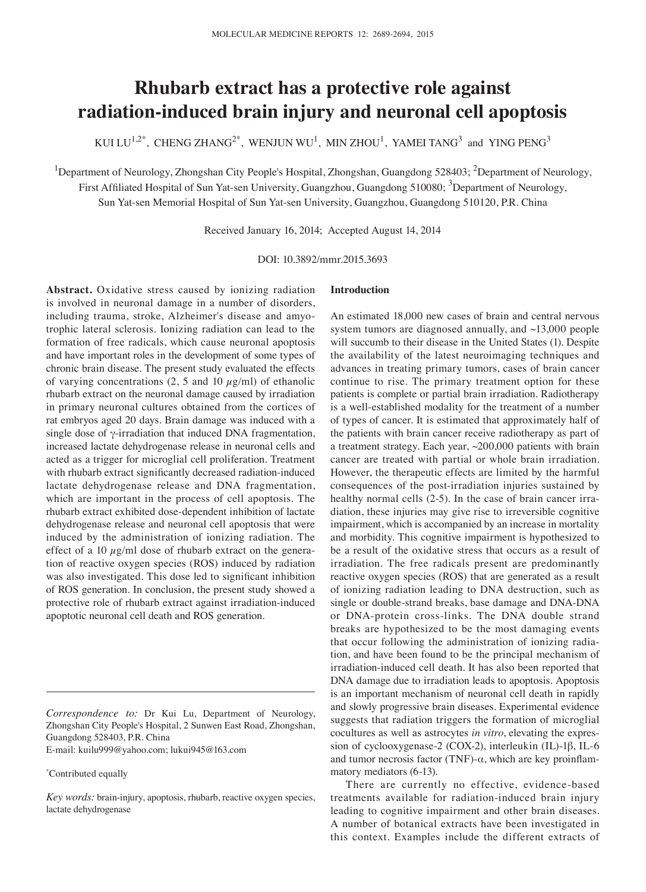# **Rhubarb extract has a protective role against radiation-induced brain injury and neuronal cell apoptosis**

KUI LU $^{1,2^*}$ , CHENG ZHANG $^{2^*}$ , WENJUN WU $^1$ , MIN ZHOU $^1$ , YAMEI TANG $^3$  and YING PENG $^3$ 

 $^1$ Department of Neurology, Zhongshan City People's Hospital, Zhongshan, Guangdong 528403;  $^2$ Department of Neurology, First Affiliated Hospital of Sun Yat-sen University, Guangzhou, Guangdong 510080; <sup>3</sup>Department of Neurology, Sun Yat-sen Memorial Hospital of Sun Yat-sen University, Guangzhou, Guangdong 510120, P.R. China

Received January 16, 2014; Accepted August 14, 2014

DOI: 10.3892/mmr.2015.3693

**Abstract.** Oxidative stress caused by ionizing radiation is involved in neuronal damage in a number of disorders, including trauma, stroke, Alzheimer's disease and amyotrophic lateral sclerosis. Ionizing radiation can lead to the formation of free radicals, which cause neuronal apoptosis and have important roles in the development of some types of chronic brain disease. The present study evaluated the effects of varying concentrations  $(2, 5 \text{ and } 10 \mu\text{g/ml})$  of ethanolic rhubarb extract on the neuronal damage caused by irradiation in primary neuronal cultures obtained from the cortices of rat embryos aged 20 days. Brain damage was induced with a single dose of γ-irradiation that induced DNA fragmentation, increased lactate dehydrogenase release in neuronal cells and acted as a trigger for microglial cell proliferation. Treatment with rhubarb extract significantly decreased radiation-induced lactate dehydrogenase release and DNA fragmentation, which are important in the process of cell apoptosis. The rhubarb extract exhibited dose-dependent inhibition of lactate dehydrogenase release and neuronal cell apoptosis that were induced by the administration of ionizing radiation. The effect of a 10  $\mu$ g/ml dose of rhubarb extract on the generation of reactive oxygen species (ROS) induced by radiation was also investigated. This dose led to significant inhibition of ROS generation. In conclusion, the present study showed a protective role of rhubarb extract against irradiation-induced apoptotic neuronal cell death and ROS generation.

E-mail: kuilu999@yahoo.com; lukui945@163.com

\* Contributed equally

*Key words:* brain-injury, apoptosis, rhubarb, reactive oxygen species, lactate dehydrogenase

## **Introduction**

An estimated 18,000 new cases of brain and central nervous system tumors are diagnosed annually, and ~13,000 people will succumb to their disease in the United States (1). Despite the availability of the latest neuroimaging techniques and advances in treating primary tumors, cases of brain cancer continue to rise. The primary treatment option for these patients is complete or partial brain irradiation. Radiotherapy is a well-established modality for the treatment of a number of types of cancer. It is estimated that approximately half of the patients with brain cancer receive radiotherapy as part of a treatment strategy. Each year, ~200,000 patients with brain cancer are treated with partial or whole brain irradiation. However, the therapeutic effects are limited by the harmful consequences of the post-irradiation injuries sustained by healthy normal cells (2-5). In the case of brain cancer irradiation, these injuries may give rise to irreversible cognitive impairment, which is accompanied by an increase in mortality and morbidity. This cognitive impairment is hypothesized to be a result of the oxidative stress that occurs as a result of irradiation. The free radicals present are predominantly reactive oxygen species (ROS) that are generated as a result of ionizing radiation leading to DNA destruction, such as single or double-strand breaks, base damage and DNA-DNA or DNA-protein cross-links. The DNA double strand breaks are hypothesized to be the most damaging events that occur following the administration of ionizing radiation, and have been found to be the principal mechanism of irradiation-induced cell death. It has also been reported that DNA damage due to irradiation leads to apoptosis. Apoptosis is an important mechanism of neuronal cell death in rapidly and slowly progressive brain diseases. Experimental evidence suggests that radiation triggers the formation of microglial cocultures as well as astrocytes *in vitro*, elevating the expression of cyclooxygenase-2 (COX-2), interleukin (IL)-1β, IL-6 and tumor necrosis factor (TNF)- $\alpha$ , which are key proinflammatory mediators (6-13).

There are currently no effective, evidence-based treatments available for radiation-induced brain injury leading to cognitive impairment and other brain diseases. A number of botanical extracts have been investigated in this context. Examples include the different extracts of

*Correspondence to:* Dr Kui Lu, Department of Neurology, Zhongshan City People's Hospital, 2 Sunwen East Road, Zhongshan, Guangdong 528403, P.R. China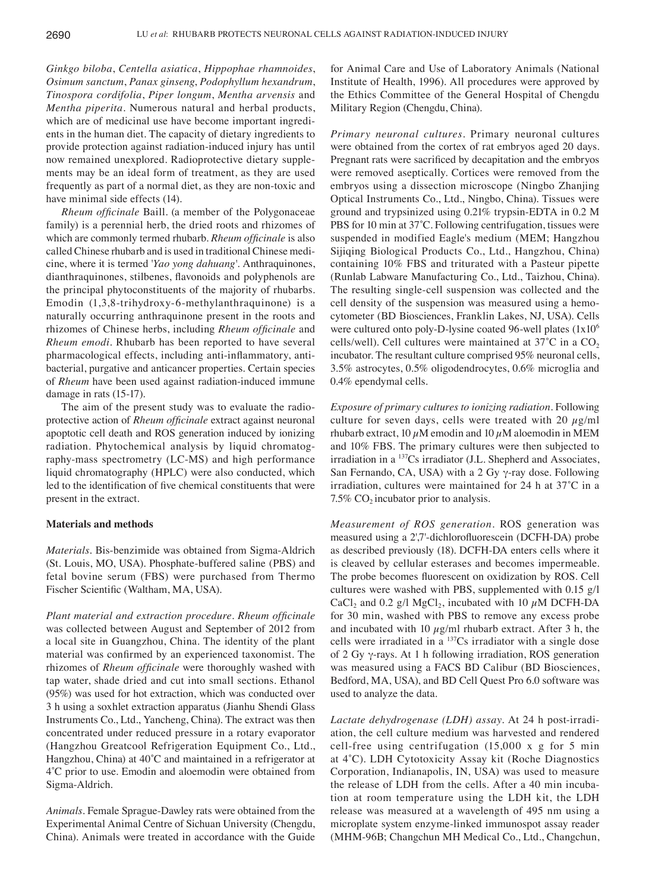*Ginkgo biloba*, *Centella asiatica*, *Hippophae rhamnoides*, *Osimum sanctum*, *Panax ginseng*, *Podophyllum hexandrum*, *Tinospora cordifolia*, *Piper longum*, *Mentha arvensis* and *Mentha piperita*. Numerous natural and herbal products, which are of medicinal use have become important ingredients in the human diet. The capacity of dietary ingredients to provide protection against radiation-induced injury has until now remained unexplored. Radioprotective dietary supplements may be an ideal form of treatment, as they are used frequently as part of a normal diet, as they are non-toxic and have minimal side effects (14).

*Rheum officinale* Baill. (a member of the Polygonaceae family) is a perennial herb, the dried roots and rhizomes of which are commonly termed rhubarb. *Rheum officinale* is also called Chinese rhubarb and is used in traditional Chinese medicine, where it is termed '*Yao yong dahuang'*. Anthraquinones, dianthraquinones, stilbenes, flavonoids and polyphenols are the principal phytoconstituents of the majority of rhubarbs. Emodin (1,3,8-trihydroxy-6-methylanthraquinone) is a naturally occurring anthraquinone present in the roots and rhizomes of Chinese herbs, including *Rheum officinale* and *Rheum emodi*. Rhubarb has been reported to have several pharmacological effects, including anti-inflammatory, antibacterial, purgative and anticancer properties. Certain species of *Rheum* have been used against radiation-induced immune damage in rats (15-17).

The aim of the present study was to evaluate the radioprotective action of *Rheum officinale* extract against neuronal apoptotic cell death and ROS generation induced by ionizing radiation. Phytochemical analysis by liquid chromatography-mass spectrometry (LC-MS) and high performance liquid chromatography (HPLC) were also conducted, which led to the identification of five chemical constituents that were present in the extract.

## **Materials and methods**

*Materials.* Bis-benzimide was obtained from Sigma-Aldrich (St. Louis, MO, USA). Phosphate-buffered saline (PBS) and fetal bovine serum (FBS) were purchased from Thermo Fischer Scientific (Waltham, MA, USA).

*Plant material and extraction procedure. Rheum officinale* was collected between August and September of 2012 from a local site in Guangzhou, China. The identity of the plant material was confirmed by an experienced taxonomist. The rhizomes of *Rheum officinale* were thoroughly washed with tap water, shade dried and cut into small sections. Ethanol (95%) was used for hot extraction, which was conducted over 3 h using a soxhlet extraction apparatus (Jianhu Shendi Glass Instruments Co., Ltd., Yancheng, China). The extract was then concentrated under reduced pressure in a rotary evaporator (Hangzhou Greatcool Refrigeration Equipment Co., Ltd., Hangzhou, China) at 40˚C and maintained in a refrigerator at 4˚C prior to use. Emodin and aloemodin were obtained from Sigma-Aldrich.

*Animals.* Female Sprague-Dawley rats were obtained from the Experimental Animal Centre of Sichuan University (Chengdu, China). Animals were treated in accordance with the Guide for Animal Care and Use of Laboratory Animals (National Institute of Health, 1996). All procedures were approved by the Ethics Committee of the General Hospital of Chengdu Military Region (Chengdu, China).

*Primary neuronal cultures.* Primary neuronal cultures were obtained from the cortex of rat embryos aged 20 days. Pregnant rats were sacrificed by decapitation and the embryos were removed aseptically. Cortices were removed from the embryos using a dissection microscope (Ningbo Zhanjing Optical Instruments Co., Ltd., Ningbo, China). Tissues were ground and trypsinized using 0.21% trypsin-EDTA in 0.2 M PBS for 10 min at 37˚C. Following centrifugation, tissues were suspended in modified Eagle's medium (MEM; Hangzhou Sijiqing Biological Products Co., Ltd., Hangzhou, China) containing 10% FBS and triturated with a Pasteur pipette (Runlab Labware Manufacturing Co., Ltd., Taizhou, China). The resulting single-cell suspension was collected and the cell density of the suspension was measured using a hemocytometer (BD Biosciences, Franklin Lakes, NJ, USA). Cells were cultured onto poly-D-lysine coated 96-well plates  $(1x10<sup>6</sup>)$ cells/well). Cell cultures were maintained at  $37^{\circ}$ C in a CO<sub>2</sub> incubator. The resultant culture comprised 95% neuronal cells, 3.5% astrocytes, 0.5% oligodendrocytes, 0.6% microglia and 0.4% ependymal cells.

*Exposure of primary cultures to ionizing radiation.* Following culture for seven days, cells were treated with 20  $\mu$ g/ml rhubarb extract, 10  $\mu$ M emodin and 10  $\mu$ M aloemodin in MEM and 10% FBS. The primary cultures were then subjected to irradiation in a 137Cs irradiator (J.L. Shepherd and Associates, San Fernando, CA, USA) with a 2 Gy γ-ray dose. Following irradiation, cultures were maintained for 24 h at 37˚C in a 7.5%  $CO<sub>2</sub>$  incubator prior to analysis.

*Measurement of ROS generation.* ROS generation was measured using a 2',7'‑dichlorofluorescein (DCFH‑DA) probe as described previously (18). DCFH-DA enters cells where it is cleaved by cellular esterases and becomes impermeable. The probe becomes fluorescent on oxidization by ROS. Cell cultures were washed with PBS, supplemented with 0.15 g/l CaCl, and 0.2 g/l MgCl<sub>2</sub>, incubated with 10  $\mu$ M DCFH-DA for 30 min, washed with PBS to remove any excess probe and incubated with 10  $\mu$ g/ml rhubarb extract. After 3 h, the cells were irradiated in a 137Cs irradiator with a single dose of 2 Gy γ-rays. At 1 h following irradiation, ROS generation was measured using a FACS BD Calibur (BD Biosciences, Bedford, MA, USA), and BD Cell Quest Pro 6.0 software was used to analyze the data.

*Lactate dehydrogenase (LDH) assay.* At 24 h post-irradiation, the cell culture medium was harvested and rendered cell-free using centrifugation (15,000 x g for 5 min at 4˚C). LDH Cytotoxicity Assay kit (Roche Diagnostics Corporation, Indianapolis, IN, USA) was used to measure the release of LDH from the cells. After a 40 min incubation at room temperature using the LDH kit, the LDH release was measured at a wavelength of 495 nm using a microplate system enzyme-linked immunospot assay reader (MHM-96B; Changchun MH Medical Co., Ltd., Changchun,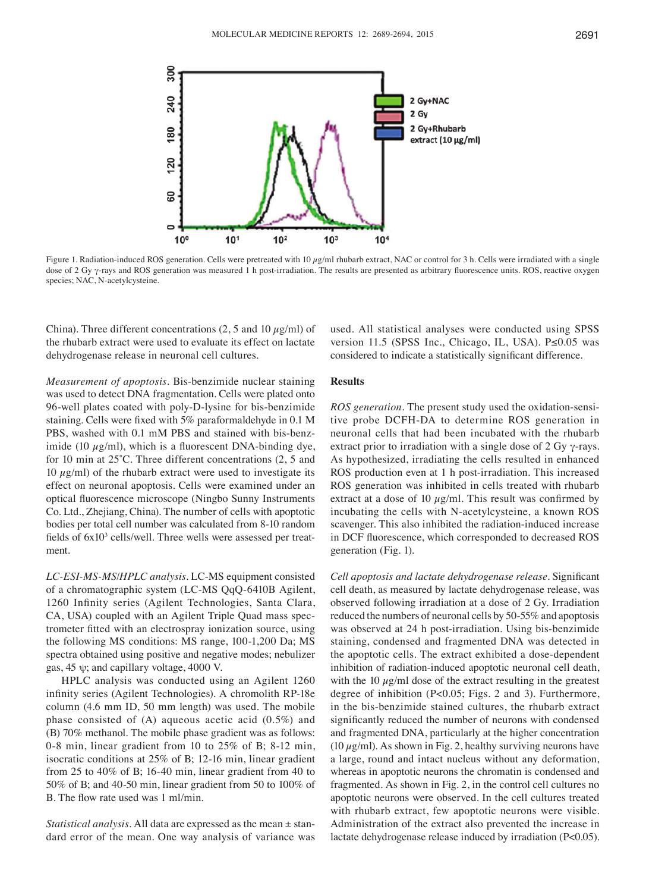

Figure 1. Radiation-induced ROS generation. Cells were pretreated with  $10 \mu g/ml$  rhubarb extract, NAC or control for 3 h. Cells were irradiated with a single dose of 2 Gy γ-rays and ROS generation was measured 1 h post-irradiation. The results are presented as arbitrary fluorescence units. ROS, reactive oxygen species; NAC, N-acetylcysteine.

China). Three different concentrations  $(2, 5 \text{ and } 10 \mu\text{g/ml})$  of the rhubarb extract were used to evaluate its effect on lactate dehydrogenase release in neuronal cell cultures.

*Measurement of apoptosis.* Bis-benzimide nuclear staining was used to detect DNA fragmentation. Cells were plated onto 96-well plates coated with poly-D-lysine for bis-benzimide staining. Cells were fixed with 5% paraformaldehyde in 0.1 M PBS, washed with 0.1 mM PBS and stained with bis-benzimide (10  $\mu$ g/ml), which is a fluorescent DNA-binding dye, for 10 min at 25˚C. Three different concentrations (2, 5 and 10  $\mu$ g/ml) of the rhubarb extract were used to investigate its effect on neuronal apoptosis. Cells were examined under an optical fluorescence microscope (Ningbo Sunny Instruments Co. Ltd., Zhejiang, China). The number of cells with apoptotic bodies per total cell number was calculated from 8-10 random fields of  $6x10<sup>3</sup>$  cells/well. Three wells were assessed per treatment.

*LC‑ESI‑MS‑MS*/*HPLC analysis.* LC-MS equipment consisted of a chromatographic system (LC-MS QqQ-6410B Agilent, 1260 Infinity series (Agilent Technologies, Santa Clara, CA, USA) coupled with an Agilent Triple Quad mass spectrometer fitted with an electrospray ionization source, using the following MS conditions: MS range, 100-1,200 Da; MS spectra obtained using positive and negative modes; nebulizer gas,  $45 \psi$ ; and capillary voltage,  $4000 \text{ V}$ .

HPLC analysis was conducted using an Agilent 1260 infinity series (Agilent Technologies). A chromolith RP-18e column (4.6 mm ID, 50 mm length) was used. The mobile phase consisted of (A) aqueous acetic acid (0.5%) and (B) 70% methanol. The mobile phase gradient was as follows: 0-8 min, linear gradient from 10 to 25% of B; 8-12 min, isocratic conditions at 25% of B; 12-16 min, linear gradient from 25 to 40% of B; 16-40 min, linear gradient from 40 to 50% of B; and 40-50 min, linear gradient from 50 to 100% of B. The flow rate used was 1 ml/min.

*Statistical analysis.* All data are expressed as the mean ± standard error of the mean. One way analysis of variance was

used. All statistical analyses were conducted using SPSS version 11.5 (SPSS Inc., Chicago, IL, USA). P≤0.05 was considered to indicate a statistically significant difference.

### **Results**

*ROS generation.* The present study used the oxidation-sensitive probe DCFH-DA to determine ROS generation in neuronal cells that had been incubated with the rhubarb extract prior to irradiation with a single dose of 2 Gy γ-rays. As hypothesized, irradiating the cells resulted in enhanced ROS production even at 1 h post-irradiation. This increased ROS generation was inhibited in cells treated with rhubarb extract at a dose of 10  $\mu$ g/ml. This result was confirmed by incubating the cells with N-acetylcysteine, a known ROS scavenger. This also inhibited the radiation-induced increase in DCF fluorescence, which corresponded to decreased ROS generation (Fig. 1).

*Cell apoptosis and lactate dehydrogenase release.* Significant cell death, as measured by lactate dehydrogenase release, was observed following irradiation at a dose of 2 Gy. Irradiation reduced the numbers of neuronal cells by 50-55% and apoptosis was observed at 24 h post-irradiation. Using bis-benzimide staining, condensed and fragmented DNA was detected in the apoptotic cells. The extract exhibited a dose-dependent inhibition of radiation-induced apoptotic neuronal cell death, with the 10  $\mu$ g/ml dose of the extract resulting in the greatest degree of inhibition (P<0.05; Figs. 2 and 3). Furthermore, in the bis-benzimide stained cultures, the rhubarb extract significantly reduced the number of neurons with condensed and fragmented DNA, particularly at the higher concentration (10  $\mu$ g/ml). As shown in Fig. 2, healthy surviving neurons have a large, round and intact nucleus without any deformation, whereas in apoptotic neurons the chromatin is condensed and fragmented. As shown in Fig. 2, in the control cell cultures no apoptotic neurons were observed. In the cell cultures treated with rhubarb extract, few apoptotic neurons were visible. Administration of the extract also prevented the increase in lactate dehydrogenase release induced by irradiation (P<0.05).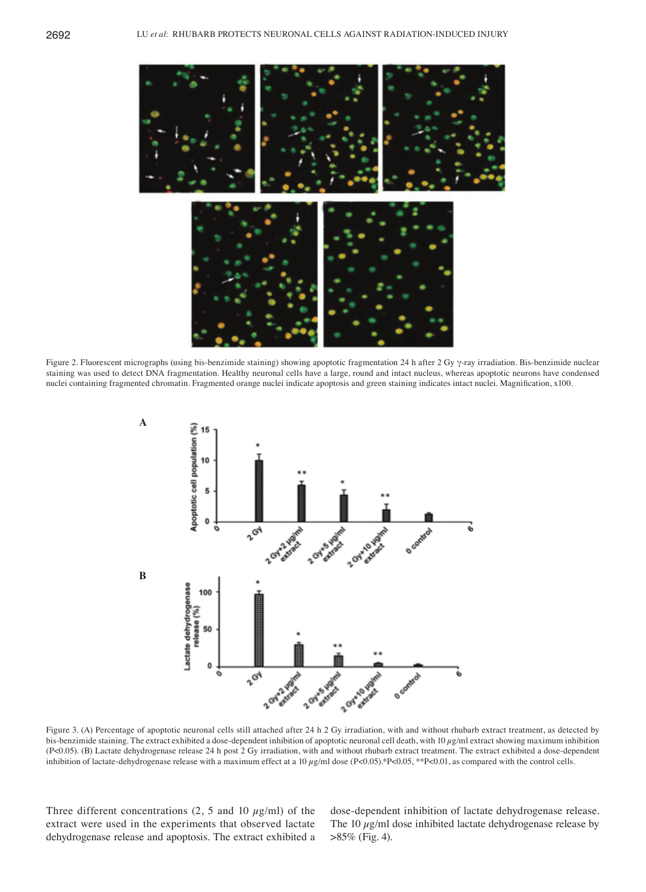

Figure 2. Fluorescent micrographs (using bis-benzimide staining) showing apoptotic fragmentation 24 h after 2 Gy γ-ray irradiation. Bis-benzimide nuclear staining was used to detect DNA fragmentation. Healthy neuronal cells have a large, round and intact nucleus, whereas apoptotic neurons have condensed nuclei containing fragmented chromatin. Fragmented orange nuclei indicate apoptosis and green staining indicates intact nuclei. Magnification, x100.



Figure 3. (A) Percentage of apoptotic neuronal cells still attached after 24 h 2 Gy irradiation, with and without rhubarb extract treatment, as detected by bis-benzimide staining. The extract exhibited a dose-dependent inhibition of apoptotic neuronal cell death, with 10  $\mu$ g/ml extract showing maximum inhibition (P<0.05). (B) Lactate dehydrogenase release 24 h post 2 Gy irradiation, with and without rhubarb extract treatment. The extract exhibited a dose-dependent inhibition of lactate-dehydrogenase release with a maximum effect at a 10  $\mu$ g/ml dose (P<0.05).\*P<0.05, \*\*P<0.01, as compared with the control cells.

Three different concentrations  $(2, 5 \text{ and } 10 \mu\text{g/ml})$  of the extract were used in the experiments that observed lactate dehydrogenase release and apoptosis. The extract exhibited a dose-dependent inhibition of lactate dehydrogenase release. The 10  $\mu$ g/ml dose inhibited lactate dehydrogenase release by >85% (Fig. 4).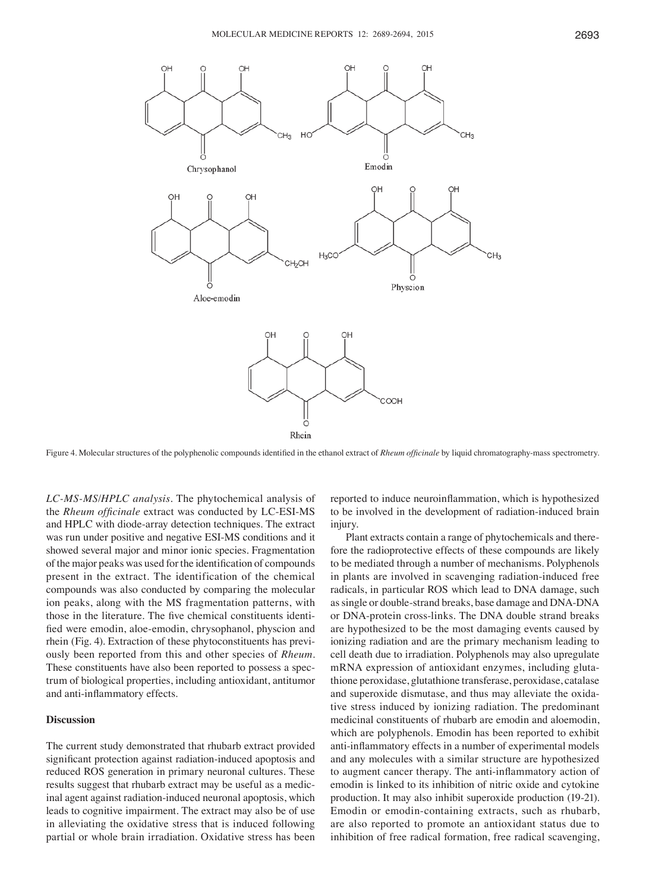

Figure 4. Molecular structures of the polyphenolic compounds identified in the ethanol extract of *Rheum officinale* by liquid chromatography-mass spectrometry.

*LC‑MS‑MS*/*HPLC analysis.* The phytochemical analysis of the *Rheum officinale* extract was conducted by LC-ESI-MS and HPLC with diode-array detection techniques. The extract was run under positive and negative ESI-MS conditions and it showed several major and minor ionic species. Fragmentation of the major peaks was used for the identification of compounds present in the extract. The identification of the chemical compounds was also conducted by comparing the molecular ion peaks, along with the MS fragmentation patterns, with those in the literature. The five chemical constituents identified were emodin, aloe‑emodin, chrysophanol, physcion and rhein (Fig. 4). Extraction of these phytoconstituents has previously been reported from this and other species of *Rheum*. These constituents have also been reported to possess a spectrum of biological properties, including antioxidant, antitumor and anti‑inflammatory effects.

## **Discussion**

The current study demonstrated that rhubarb extract provided significant protection against radiation‑induced apoptosis and reduced ROS generation in primary neuronal cultures. These results suggest that rhubarb extract may be useful as a medicinal agent against radiation-induced neuronal apoptosis, which leads to cognitive impairment. The extract may also be of use in alleviating the oxidative stress that is induced following partial or whole brain irradiation. Oxidative stress has been

reported to induce neuroinflammation, which is hypothesized to be involved in the development of radiation-induced brain injury.

Plant extracts contain a range of phytochemicals and therefore the radioprotective effects of these compounds are likely to be mediated through a number of mechanisms. Polyphenols in plants are involved in scavenging radiation-induced free radicals, in particular ROS which lead to DNA damage, such as single or double-strand breaks, base damage and DNA-DNA or DNA-protein cross-links. The DNA double strand breaks are hypothesized to be the most damaging events caused by ionizing radiation and are the primary mechanism leading to cell death due to irradiation. Polyphenols may also upregulate mRNA expression of antioxidant enzymes, including glutathione peroxidase, glutathione transferase, peroxidase, catalase and superoxide dismutase, and thus may alleviate the oxidative stress induced by ionizing radiation. The predominant medicinal constituents of rhubarb are emodin and aloemodin, which are polyphenols. Emodin has been reported to exhibit anti-inflammatory effects in a number of experimental models and any molecules with a similar structure are hypothesized to augment cancer therapy. The anti‑inflammatory action of emodin is linked to its inhibition of nitric oxide and cytokine production. It may also inhibit superoxide production (19-21). Emodin or emodin-containing extracts, such as rhubarb, are also reported to promote an antioxidant status due to inhibition of free radical formation, free radical scavenging,